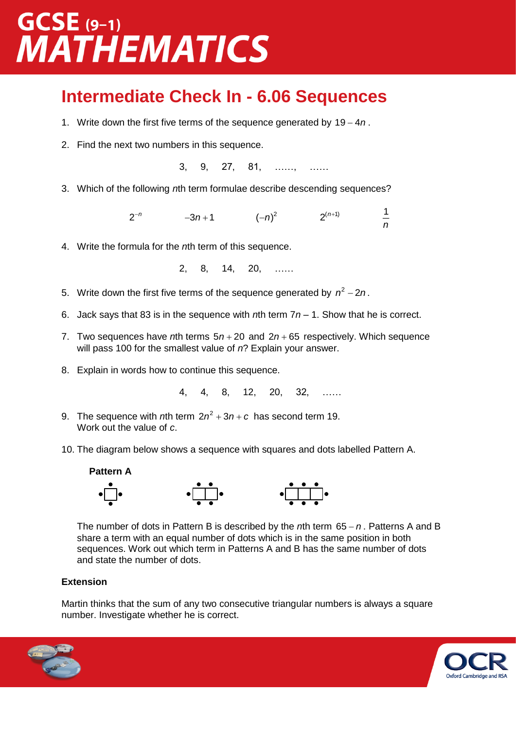### **GCSE** (9-1) **MATHEMATICS**

#### **Intermediate Check In - 6.06 Sequences**

- 1. Write down the first five terms of the sequence generated by 19 4n.
- 2. Find the next two numbers in this sequence.

3, 9, 27, 81, ……, ……

3. Which of the following *n*th term formulae describe descending sequences?

2 *n*  $(-n)^2$  2<sup>(n+1)</sup> 1 *n*

4. Write the formula for the *n*th term of this sequence.

2, 8, 14, 20, ……

- 5. Write down the first five terms of the sequence generated by  $n^2 2n$ .
- 6. Jack says that 83 is in the sequence with *n*th term 7*n* 1. Show that he is correct.
- 7. Two sequences have *th terms*  $5*n* + 20$  *and*  $2*n* + 65$  *respectively. Which sequence* will pass 100 for the smallest value of *n*? Explain your answer.
- 8. Explain in words how to continue this sequence.

4, 4, 8, 12, 20, 32, ……

- 9. The sequence with *n*th term  $2n^2 + 3n + c$  has second term 19. Work out the value of *c*.
- 10. The diagram below shows a sequence with squares and dots labelled Pattern A.



The number of dots in Pattern B is described by the *n*th term 65 *<sup>n</sup>* . Patterns A and B share a term with an equal number of dots which is in the same position in both sequences. Work out which term in Patterns A and B has the same number of dots and state the number of dots.

#### **Extension**

Martin thinks that the sum of any two consecutive triangular numbers is always a square number. Investigate whether he is correct.



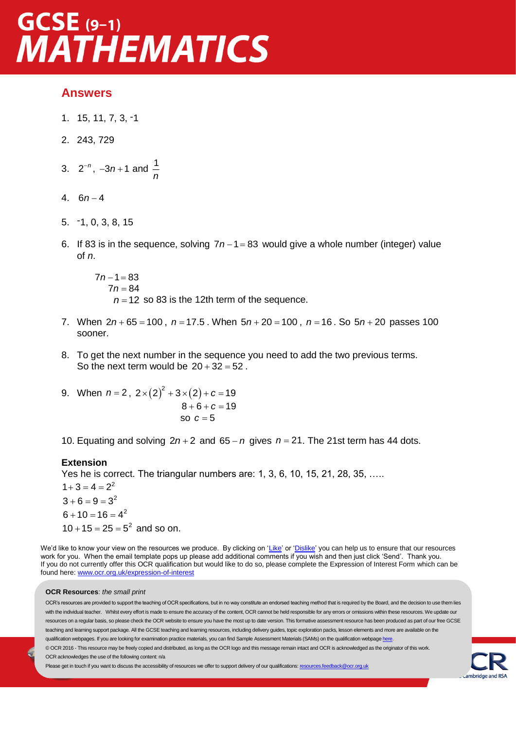# GCSE (9-1)<br>MATHEMATICS

#### **Answers**

- 1. 15, 11, 7, 3, -1
- 2. 243, 729
- 3.  $2^{-n}$ ,  $-3n+1$  and  $\frac{1}{n}$ *n*
- 4. 6 4 *n*
- 5. -1, 0, 3, 8, 15
- 6. If 83 is in the sequence, solving  $7n 1 = 83$  would give a whole number (integer) value of *n*.

*7 n* – 1 = 83  $7n = 84$  $n = 12$  so 83 is the 12th term of the sequence.

- 7. When  $2n + 65 = 100$ ,  $n = 17.5$ . When  $5n + 20 = 100$ ,  $n = 16$ . So  $5n + 20$  passes 100 sooner.
- 8. To get the next number in the sequence you need to add the two previous terms. So the next term would be  $20 + 32 = 52$ .
- 9. When  $n = 2$ ,  $2 \times (2)^2 + 3 \times (2) + c = 19$  $8 + 6 + c = 19$ so a strategic strategic strategic strategic strategic strategic strategic strategic strategic strategic strategic strategic strategic strategic strategic strategic strategic strategic strategic strategic strategic strateg so  $c = 5$
- 10. Equating and solving  $2n+2$  and  $65 n$  gives  $n = 21$ . The 21st term has 44 dots.

#### **Extension**

Yes he is correct. The triangular numbers are: 1, 3, 6, 10, 15, 21, 28, 35, …..

 $1+3=4=2^2$  $3 + 6 = 9 = 3^2$  $6 + 10 = 16 = 4^2$  $10 + 15 = 25 = 5^2$  and so on.

We'd like to know your view on the resources we produce. By clicking on ['Like'](mailto:resources.feedback@ocr.org.uk?subject=I%20liked%20the%20GCSE%20(9-1)%20Mathematics%20Higher%20Check%20In%20–%207.02%20Straight%20line%20graphs) or ['Dislike'](mailto:resources.feedback@ocr.org.uk?subject=I%20disliked%20the%20GCSE%20(9-1)%20Mathematics%20Higher%20Check%20In%20–%207.02%20Straight%20line%20graphs) you can help us to ensure that our resources work for you. When the email template pops up please add additional comments if you wish and then just click 'Send'. Thank you. If you do not currently offer this OCR qualification but would like to do so, please complete the Expression of Interest Form which can be found here[: www.ocr.org.uk/expression-of-interest](http://www.ocr.org.uk/expression-of-interest)

#### **OCR Resources**: *the small print*

OCR's resources are provided to support the teaching of OCR specifications, but in no way constitute an endorsed teaching method that is required by the Board, and the decision to use them lies with the individual teacher. Whilst every effort is made to ensure the accuracy of the content, OCR cannot be held responsible for any errors or omissions within these resources. We update our resources on a regular basis, so please check the OCR website to ensure you have the most up to date version. This formative assessment resource has been produced as part of our free GCSE teaching and learning support package. All the GCSE teaching and learning resources, including delivery guides, topic exploration packs, lesson elements and more are available on the qualification webpages. If you are looking for examination practice materials, you can find Sample Assessment Materials (SAMs) on the qualification webpag[e here.](http://www.ocr.org.uk/qualifications/gcse-mathematics-j560-from-2015/delivery-guide/delivery-guide-gmdg009-section-09-congruence-and-similarity/) © OCR 2016 - This resource may be freely copied and distributed, as long as the OCR logo and this message remain intact and OCR is acknowledged as the originator of this work. OCR acknowledges the use of the following content: n/a

Please get in touch if you want to discuss the accessibility of resources we offer to support delivery of our qualifications: [resources.feedback@ocr.org.uk](mailto:resources.feedback@ocr.org.uk)

ambridge a